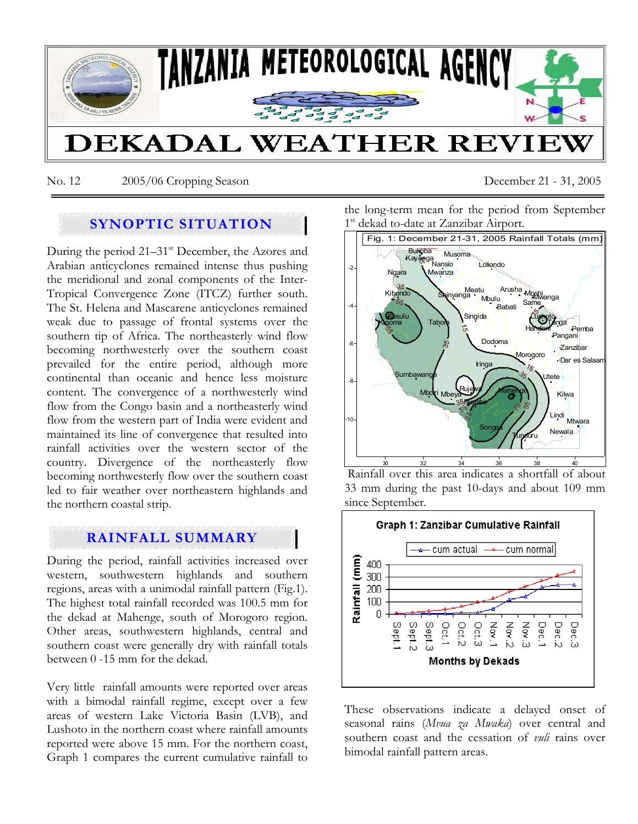

No. 12 2005/06 Cropping Season December 21 - 31, 2005

# **SYNOPTIC SITUATION**

During the period  $21-31$ <sup>st</sup> December, the Azores and Arabian anticyclones remained intense thus pushing the meridional and zonal components of the Inter-Tropical Convergence Zone (ITCZ) further south. The St. Helena and Mascarene anticyclones remained weak due to passage of frontal systems over the southern tip of Africa. The northeasterly wind flow becoming northwesterly over the southern coast prevailed for the entire period, although more continental than oceanic and hence less moisture content. The convergence of a northwesterly wind flow from the Congo basin and a northeasterly wind flow from the western part of India were evident and maintained its line of convergence that resulted into rainfall activities over the western sector of the country. Divergence of the northeasterly flow becoming northwesterly flow over the southern coast led to fair weather over northeastern highlands and the northern coastal strip.

## **RAINFALL SUMMARY**

During the period, rainfall activities increased over western, southwestern highlands and southern regions, areas with a unimodal rainfall pattern (Fig.1). The highest total rainfall recorded was 100.5 mm for the dekad at Mahenge, south of Morogoro region. Other areas, southwestern highlands, central and southern coast were generally dry with rainfall totals between 0 -15 mm for the dekad.

Very little rainfall amounts were reported over areas with a bimodal rainfall regime, except over a few areas of western Lake Victoria Basin (LVB), and Lushoto in the northern coast where rainfall amounts reported were above 15 mm. For the northern coast, Graph 1 compares the current cumulative rainfall to the long-term mean for the period from September 1<sup>st</sup> dekad to-date at Zanzibar Airport.



 Rainfall over this area indicates a shortfall of about 33 mm during the past 10-days and about 109 mm since September.



These observations indicate a delayed onset of seasonal rains (*Mvua za Mwaka*) over central and southern coast and the cessation of *vuli* rains over bimodal rainfall pattern areas.